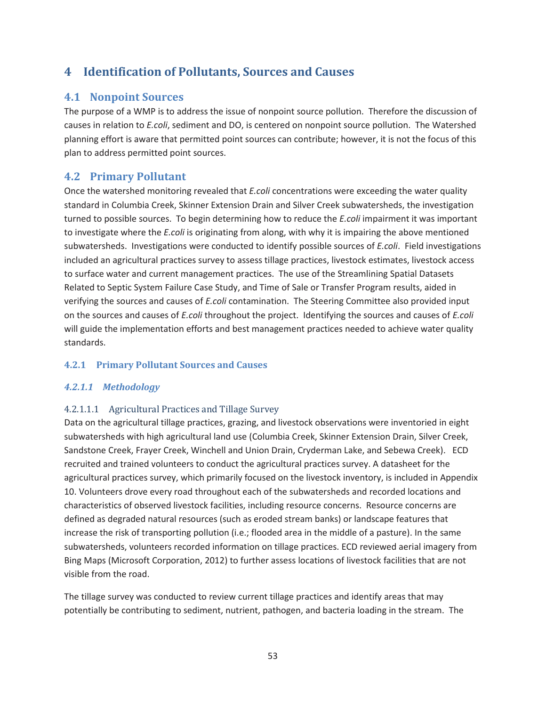# **4 Identification of Pollutants, Sources and Causes**

# **4.1 Nonpoint Sources**

The purpose of a WMP is to address the issue of nonpoint source pollution. Therefore the discussion of causes in relation to *E.coli*, sediment and DO, is centered on nonpoint source pollution. The Watershed planning effort is aware that permitted point sources can contribute; however, it is not the focus of this plan to address permitted point sources.

# **4.2 Primary Pollutant**

Once the watershed monitoring revealed that *E.coli* concentrations were exceeding the water quality standard in Columbia Creek, Skinner Extension Drain and Silver Creek subwatersheds, the investigation turned to possible sources. To begin determining how to reduce the *E.coli* impairment it was important to investigate where the *E.coli* is originating from along, with why it is impairing the above mentioned subwatersheds. Investigations were conducted to identify possible sources of *E.coli*. Field investigations included an agricultural practices survey to assess tillage practices, livestock estimates, livestock access to surface water and current management practices. The use of the Streamlining Spatial Datasets Related to Septic System Failure Case Study, and Time of Sale or Transfer Program results, aided in verifying the sources and causes of *E.coli* contamination. The Steering Committee also provided input on the sources and causes of *E.coli* throughout the project. Identifying the sources and causes of *E.coli* will guide the implementation efforts and best management practices needed to achieve water quality standards.

# **4.2.1 Primary Pollutant Sources and Causes**

# *4.2.1.1 Methodology*

### 4.2.1.1.1 Agricultural Practices and Tillage Survey

Data on the agricultural tillage practices, grazing, and livestock observations were inventoried in eight subwatersheds with high agricultural land use (Columbia Creek, Skinner Extension Drain, Silver Creek, Sandstone Creek, Frayer Creek, Winchell and Union Drain, Cryderman Lake, and Sebewa Creek). ECD recruited and trained volunteers to conduct the agricultural practices survey. A datasheet for the agricultural practices survey, which primarily focused on the livestock inventory, is included in Appendix 10. Volunteers drove every road throughout each of the subwatersheds and recorded locations and characteristics of observed livestock facilities, including resource concerns. Resource concerns are defined as degraded natural resources (such as eroded stream banks) or landscape features that increase the risk of transporting pollution (i.e.; flooded area in the middle of a pasture). In the same subwatersheds, volunteers recorded information on tillage practices. ECD reviewed aerial imagery from Bing Maps (Microsoft Corporation, 2012) to further assess locations of livestock facilities that are not visible from the road.

The tillage survey was conducted to review current tillage practices and identify areas that may potentially be contributing to sediment, nutrient, pathogen, and bacteria loading in the stream. The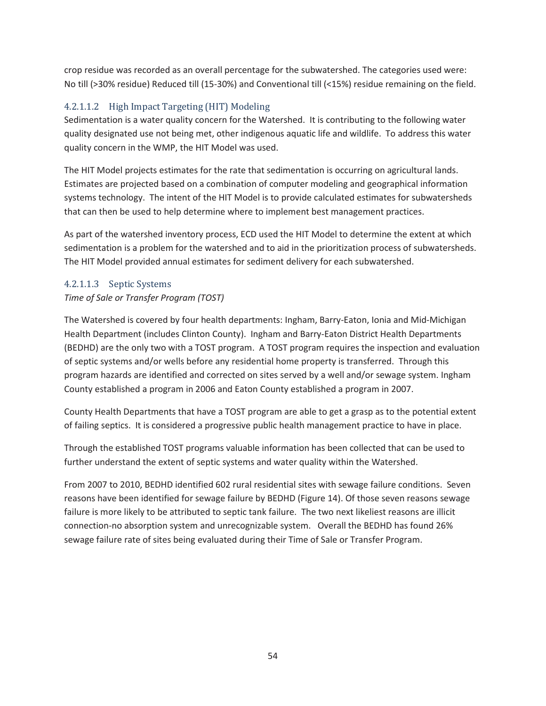crop residue was recorded as an overall percentage for the subwatershed. The categories used were: No till (>30% residue) Reduced till (15-30%) and Conventional till (<15%) residue remaining on the field.

# 4.2.1.1.2 High Impact Targeting (HIT) Modeling

Sedimentation is a water quality concern for the Watershed. It is contributing to the following water quality designated use not being met, other indigenous aquatic life and wildlife. To address this water quality concern in the WMP, the HIT Model was used.

The HIT Model projects estimates for the rate that sedimentation is occurring on agricultural lands. Estimates are projected based on a combination of computer modeling and geographical information systems technology. The intent of the HIT Model is to provide calculated estimates for subwatersheds that can then be used to help determine where to implement best management practices.

As part of the watershed inventory process, ECD used the HIT Model to determine the extent at which sedimentation is a problem for the watershed and to aid in the prioritization process of subwatersheds. The HIT Model provided annual estimates for sediment delivery for each subwatershed.

# 4.2.1.1.3 Septic Systems

### *Time of Sale or Transfer Program (TOST)*

The Watershed is covered by four health departments: Ingham, Barry-Eaton, Ionia and Mid-Michigan Health Department (includes Clinton County). Ingham and Barry-Eaton District Health Departments (BEDHD) are the only two with a TOST program. A TOST program requires the inspection and evaluation of septic systems and/or wells before any residential home property is transferred. Through this program hazards are identified and corrected on sites served by a well and/or sewage system. Ingham County established a program in 2006 and Eaton County established a program in 2007.

County Health Departments that have a TOST program are able to get a grasp as to the potential extent of failing septics. It is considered a progressive public health management practice to have in place.

Through the established TOST programs valuable information has been collected that can be used to further understand the extent of septic systems and water quality within the Watershed.

From 2007 to 2010, BEDHD identified 602 rural residential sites with sewage failure conditions. Seven reasons have been identified for sewage failure by BEDHD (Figure 14). Of those seven reasons sewage failure is more likely to be attributed to septic tank failure. The two next likeliest reasons are illicit connection-no absorption system and unrecognizable system. Overall the BEDHD has found 26% sewage failure rate of sites being evaluated during their Time of Sale or Transfer Program.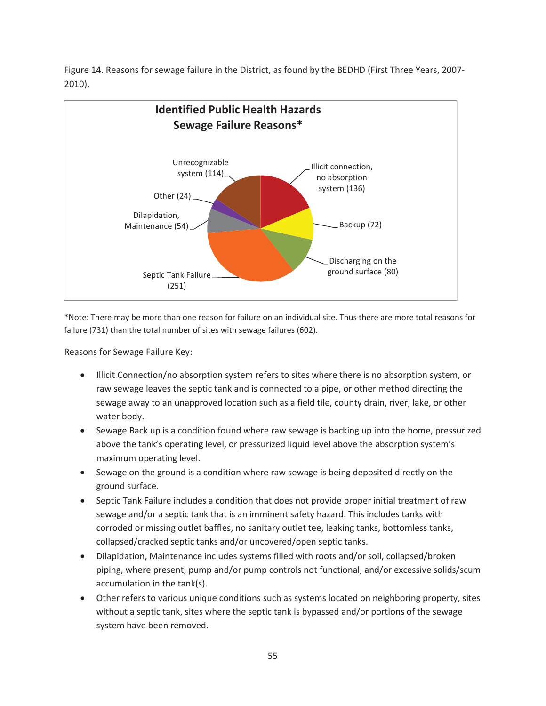Figure 14. Reasons for sewage failure in the District, as found by the BEDHD (First Three Years, 2007- 2010).



\*Note: There may be more than one reason for failure on an individual site. Thus there are more total reasons for failure (731) than the total number of sites with sewage failures (602).

Reasons for Sewage Failure Key:

- Illicit Connection/no absorption system refers to sites where there is no absorption system, or raw sewage leaves the septic tank and is connected to a pipe, or other method directing the sewage away to an unapproved location such as a field tile, county drain, river, lake, or other water body.
- Sewage Back up is a condition found where raw sewage is backing up into the home, pressurized above the tank's operating level, or pressurized liquid level above the absorption system's maximum operating level.
- Sewage on the ground is a condition where raw sewage is being deposited directly on the ground surface.
- Septic Tank Failure includes a condition that does not provide proper initial treatment of raw sewage and/or a septic tank that is an imminent safety hazard. This includes tanks with corroded or missing outlet baffles, no sanitary outlet tee, leaking tanks, bottomless tanks, collapsed/cracked septic tanks and/or uncovered/open septic tanks.
- Dilapidation, Maintenance includes systems filled with roots and/or soil, collapsed/broken piping, where present, pump and/or pump controls not functional, and/or excessive solids/scum accumulation in the tank(s).
- Other refers to various unique conditions such as systems located on neighboring property, sites without a septic tank, sites where the septic tank is bypassed and/or portions of the sewage system have been removed.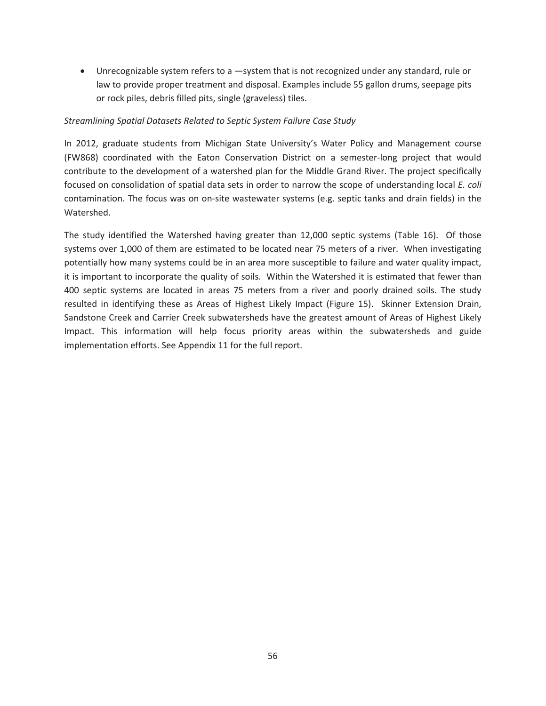• Unrecognizable system refers to a -system that is not recognized under any standard, rule or law to provide proper treatment and disposal. Examples include 55 gallon drums, seepage pits or rock piles, debris filled pits, single (graveless) tiles.

#### *Streamlining Spatial Datasets Related to Septic System Failure Case Study*

In 2012, graduate students from Michigan State University's Water Policy and Management course (FW868) coordinated with the Eaton Conservation District on a semester-long project that would contribute to the development of a watershed plan for the Middle Grand River. The project specifically focused on consolidation of spatial data sets in order to narrow the scope of understanding local *E. coli* contamination. The focus was on on-site wastewater systems (e.g. septic tanks and drain fields) in the Watershed.

The study identified the Watershed having greater than 12,000 septic systems (Table 16). Of those systems over 1,000 of them are estimated to be located near 75 meters of a river. When investigating potentially how many systems could be in an area more susceptible to failure and water quality impact, it is important to incorporate the quality of soils. Within the Watershed it is estimated that fewer than 400 septic systems are located in areas 75 meters from a river and poorly drained soils. The study resulted in identifying these as Areas of Highest Likely Impact (Figure 15). Skinner Extension Drain, Sandstone Creek and Carrier Creek subwatersheds have the greatest amount of Areas of Highest Likely Impact. This information will help focus priority areas within the subwatersheds and guide implementation efforts. See Appendix 11 for the full report.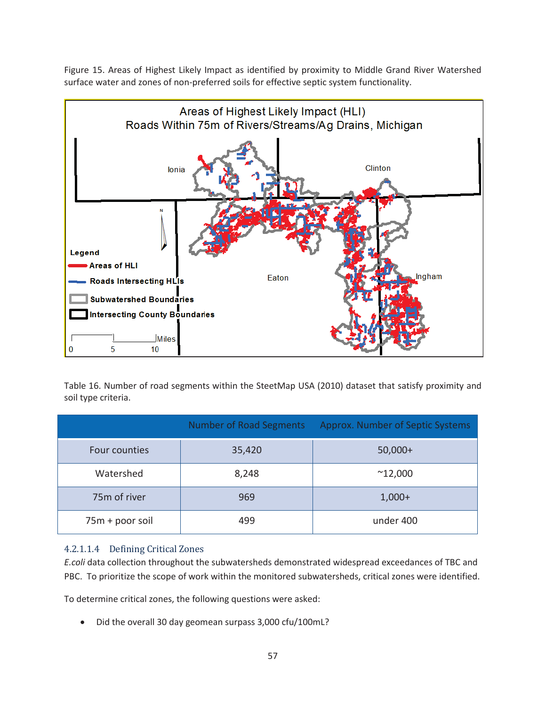Figure 15. Areas of Highest Likely Impact as identified by proximity to Middle Grand River Watershed surface water and zones of non-preferred soils for effective septic system functionality.



Table 16. Number of road segments within the SteetMap USA (2010) dataset that satisfy proximity and soil type criteria.

|                 | Number of Road Segments | Approx. Number of Septic Systems |
|-----------------|-------------------------|----------------------------------|
| Four counties   | 35,420                  | $50,000+$                        |
| Watershed       | 8,248                   | $^{\sim}$ 12,000                 |
| 75m of river    | 969                     | $1,000+$                         |
| 75m + poor soil | 499                     | under 400                        |

### 4.2.1.1.4 Defining Critical Zones

*E.coli* data collection throughout the subwatersheds demonstrated widespread exceedances of TBC and PBC. To prioritize the scope of work within the monitored subwatersheds, critical zones were identified.

To determine critical zones, the following questions were asked:

Did the overall 30 day geomean surpass 3,000 cfu/100mL?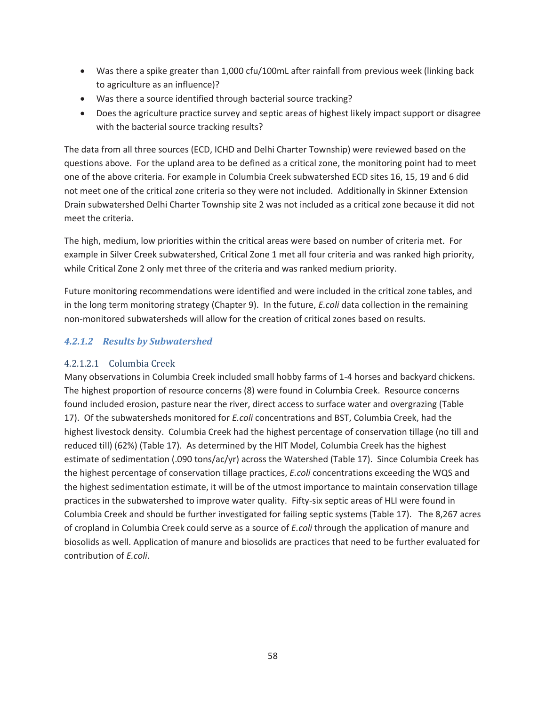- Was there a spike greater than 1,000 cfu/100mL after rainfall from previous week (linking back to agriculture as an influence)?
- Was there a source identified through bacterial source tracking?
- Does the agriculture practice survey and septic areas of highest likely impact support or disagree with the bacterial source tracking results?

The data from all three sources (ECD, ICHD and Delhi Charter Township) were reviewed based on the questions above. For the upland area to be defined as a critical zone, the monitoring point had to meet one of the above criteria. For example in Columbia Creek subwatershed ECD sites 16, 15, 19 and 6 did not meet one of the critical zone criteria so they were not included. Additionally in Skinner Extension Drain subwatershed Delhi Charter Township site 2 was not included as a critical zone because it did not meet the criteria.

The high, medium, low priorities within the critical areas were based on number of criteria met. For example in Silver Creek subwatershed, Critical Zone 1 met all four criteria and was ranked high priority, while Critical Zone 2 only met three of the criteria and was ranked medium priority.

Future monitoring recommendations were identified and were included in the critical zone tables, and in the long term monitoring strategy (Chapter 9). In the future, *E.coli* data collection in the remaining non-monitored subwatersheds will allow for the creation of critical zones based on results.

# *4.2.1.2 Results by Subwatershed*

# 4.2.1.2.1 Columbia Creek

Many observations in Columbia Creek included small hobby farms of 1-4 horses and backyard chickens. The highest proportion of resource concerns (8) were found in Columbia Creek. Resource concerns found included erosion, pasture near the river, direct access to surface water and overgrazing (Table 17). Of the subwatersheds monitored for *E.coli* concentrations and BST, Columbia Creek, had the highest livestock density. Columbia Creek had the highest percentage of conservation tillage (no till and reduced till) (62%) (Table 17). As determined by the HIT Model, Columbia Creek has the highest estimate of sedimentation (.090 tons/ac/yr) across the Watershed (Table 17). Since Columbia Creek has the highest percentage of conservation tillage practices, *E.coli* concentrations exceeding the WQS and the highest sedimentation estimate, it will be of the utmost importance to maintain conservation tillage practices in the subwatershed to improve water quality. Fifty-six septic areas of HLI were found in Columbia Creek and should be further investigated for failing septic systems (Table 17). The 8,267 acres of cropland in Columbia Creek could serve as a source of *E.coli* through the application of manure and biosolids as well. Application of manure and biosolids are practices that need to be further evaluated for contribution of *E.coli*.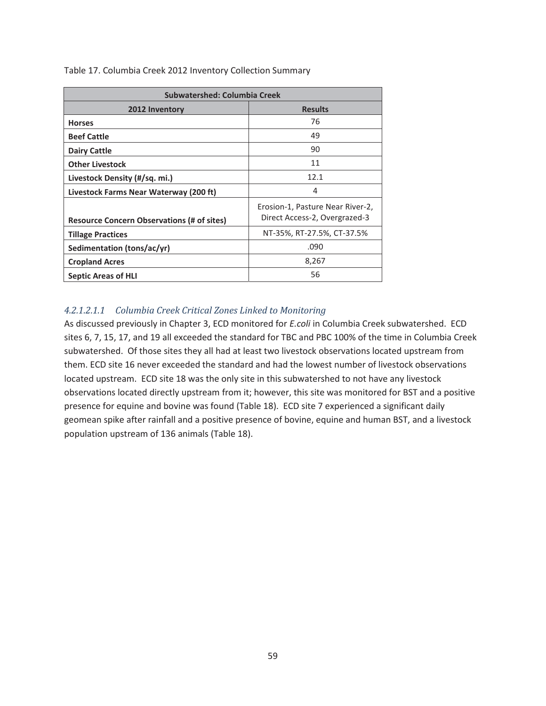| <b>Subwatershed: Columbia Creek</b>               |                                                                   |  |
|---------------------------------------------------|-------------------------------------------------------------------|--|
| 2012 Inventory                                    | <b>Results</b>                                                    |  |
| <b>Horses</b>                                     | 76                                                                |  |
| <b>Beef Cattle</b>                                | 49                                                                |  |
| <b>Dairy Cattle</b>                               | 90                                                                |  |
| <b>Other Livestock</b>                            | 11                                                                |  |
| Livestock Density (#/sq. mi.)                     | 12.1                                                              |  |
| Livestock Farms Near Waterway (200 ft)            | 4                                                                 |  |
| <b>Resource Concern Observations (# of sites)</b> | Erosion-1, Pasture Near River-2,<br>Direct Access-2, Overgrazed-3 |  |
| <b>Tillage Practices</b>                          | NT-35%, RT-27.5%, CT-37.5%                                        |  |
| Sedimentation (tons/ac/yr)                        | .090                                                              |  |
| <b>Cropland Acres</b>                             | 8,267                                                             |  |
| <b>Septic Areas of HLI</b>                        | 56                                                                |  |

Table 17. Columbia Creek 2012 Inventory Collection Summary

#### *4.2.1.2.1.1 Columbia Creek Critical Zones Linked to Monitoring*

As discussed previously in Chapter 3, ECD monitored for *E.coli* in Columbia Creek subwatershed. ECD sites 6, 7, 15, 17, and 19 all exceeded the standard for TBC and PBC 100% of the time in Columbia Creek subwatershed. Of those sites they all had at least two livestock observations located upstream from them. ECD site 16 never exceeded the standard and had the lowest number of livestock observations located upstream. ECD site 18 was the only site in this subwatershed to not have any livestock observations located directly upstream from it; however, this site was monitored for BST and a positive presence for equine and bovine was found (Table 18). ECD site 7 experienced a significant daily geomean spike after rainfall and a positive presence of bovine, equine and human BST, and a livestock population upstream of 136 animals (Table 18).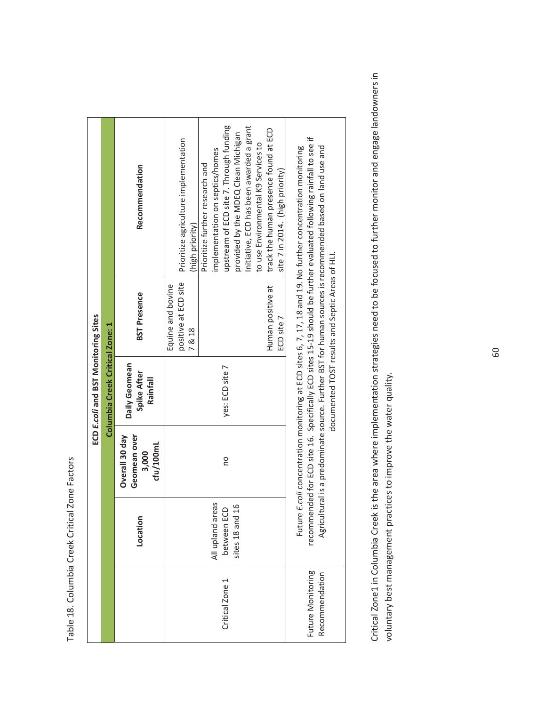Table 18. Columbia Creek Critical Zone Factors Table 18. Columbia Creek Critical Zone Factors

|                                     |                                                    |                                                      | ECD E.coli and BST Monitoring Sites      |                                                                          |                                                                                                                                                                                                                                                                                                                                                                                   |
|-------------------------------------|----------------------------------------------------|------------------------------------------------------|------------------------------------------|--------------------------------------------------------------------------|-----------------------------------------------------------------------------------------------------------------------------------------------------------------------------------------------------------------------------------------------------------------------------------------------------------------------------------------------------------------------------------|
|                                     |                                                    |                                                      | Columbia Creek Critical Zone: 1          |                                                                          |                                                                                                                                                                                                                                                                                                                                                                                   |
|                                     | Location                                           | Overall 30 day<br>Geomean over<br>cfu/100mL<br>3,000 | Daily Geomean<br>Spike After<br>Rainfall | <b>BST Presence</b>                                                      | Recommendation                                                                                                                                                                                                                                                                                                                                                                    |
| Critical Zone 1                     | All upland areas<br>sites 18 and 16<br>between ECD | ou                                                   | yes: ECD site 7                          | positive at ECD site<br>Equine and bovine<br>Human positive at<br>7 & 18 | upstream of ECD site 7. Through funding<br>Initiative, ECD has been awarded a grant<br>track the human presence found at ECD<br>provided by the MDEQ Clean Michigan<br>Prioritize agriculture implementation<br>to use Environmental K9 Services to<br>implementation on septics/homes<br>Prioritize further research and<br>(high priority)                                      |
| Future Monitoring<br>Recommendation |                                                    |                                                      |                                          | documented TOST results and Septic Areas of HLI.<br>ECD site 7           | recommended for ECD site 16. Specifically ECD sites 15-19 should be further evaluated following rainfall to see if<br>Agricultural is a predominate source. Further BST for human sources is recommended based on land use and<br>Future E.coli concentration monitoring at ECD sites 6, 7, 17, 18 and 19. No further concentration monitoring<br>site 7 in 2014. (high priority) |

Critical Zone1 in Columbia Creek is the area where implementation strategies need to be focused to further monitor and engage landowners in Critical Zone1 in Columbia Creek is the area where implementation strategies need to be focused to further monitor and engage landowners in voluntary best management practices to improve the water quality. voluntary best management practices to improve the water quality.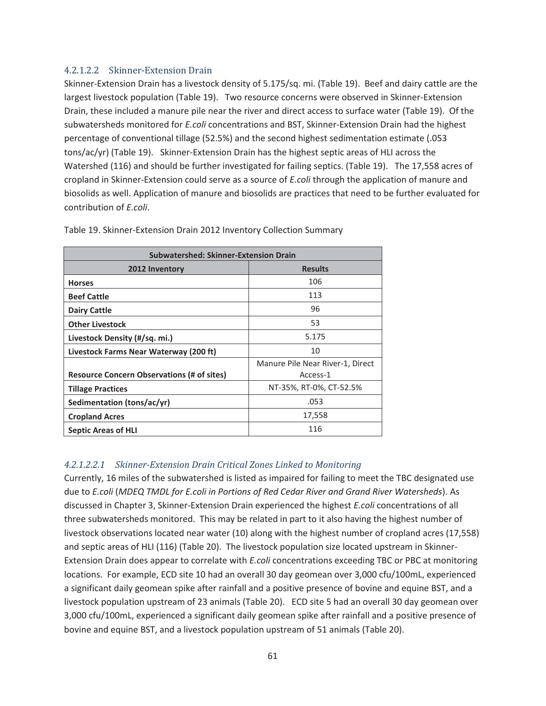### 4.2.1.2.2 Skinner-Extension Drain

Skinner-Extension Drain has a livestock density of 5.175/sq. mi. (Table 19). Beef and dairy cattle are the largest livestock population (Table 19). Two resource concerns were observed in Skinner-Extension Drain, these included a manure pile near the river and direct access to surface water (Table 19). Of the subwatersheds monitored for *E.coli* concentrations and BST, Skinner-Extension Drain had the highest percentage of conventional tillage (52.5%) and the second highest sedimentation estimate (.053 tons/ac/yr) (Table 19). Skinner-Extension Drain has the highest septic areas of HLI across the Watershed (116) and should be further investigated for failing septics. (Table 19). The 17,558 acres of cropland in Skinner-Extension could serve as a source of *E.coli* through the application of manure and biosolids as well. Application of manure and biosolids are practices that need to be further evaluated for contribution of *E.coli*.

| <b>Subwatershed: Skinner-Extension Drain</b>      |                                  |  |
|---------------------------------------------------|----------------------------------|--|
| 2012 Inventory                                    | <b>Results</b>                   |  |
| <b>Horses</b>                                     | 106                              |  |
| <b>Beef Cattle</b>                                | 113                              |  |
| <b>Dairy Cattle</b>                               | 96                               |  |
| <b>Other Livestock</b>                            | 53                               |  |
| Livestock Density (#/sq. mi.)                     | 5.175                            |  |
| Livestock Farms Near Waterway (200 ft)            | 10                               |  |
|                                                   | Manure Pile Near River-1, Direct |  |
| <b>Resource Concern Observations (# of sites)</b> | Access-1                         |  |
| <b>Tillage Practices</b>                          | NT-35%, RT-0%, CT-52.5%          |  |
| Sedimentation (tons/ac/yr)                        | .053                             |  |
| <b>Cropland Acres</b>                             | 17,558                           |  |
| <b>Septic Areas of HLI</b>                        | 116                              |  |

Table 19. Skinner-Extension Drain 2012 Inventory Collection Summary

### *4.2.1.2.2.1 Skinner-Extension Drain Critical Zones Linked to Monitoring*

Currently, 16 miles of the subwatershed is listed as impaired for failing to meet the TBC designated use due to *E.coli* (*MDEQ TMDL for E.coli in Portions of Red Cedar River and Grand River Watersheds*). As discussed in Chapter 3, Skinner-Extension Drain experienced the highest *E.coli* concentrations of all three subwatersheds monitored. This may be related in part to it also having the highest number of livestock observations located near water (10) along with the highest number of cropland acres (17,558) and septic areas of HLI (116) (Table 20). The livestock population size located upstream in Skinner-Extension Drain does appear to correlate with *E.coli* concentrations exceeding TBC or PBC at monitoring locations. For example, ECD site 10 had an overall 30 day geomean over 3,000 cfu/100mL, experienced a significant daily geomean spike after rainfall and a positive presence of bovine and equine BST, and a livestock population upstream of 23 animals (Table 20). ECD site 5 had an overall 30 day geomean over 3,000 cfu/100mL, experienced a significant daily geomean spike after rainfall and a positive presence of bovine and equine BST, and a livestock population upstream of 51 animals (Table 20).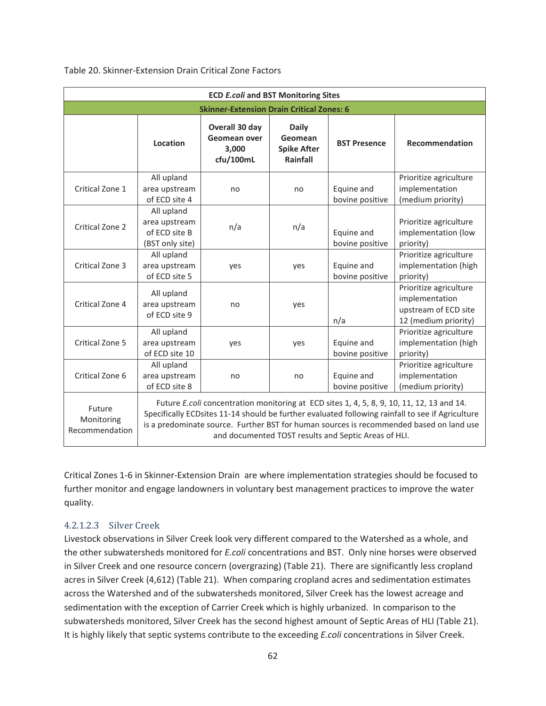| <b>ECD E.coli and BST Monitoring Sites</b> |                                                                                                                                                                                                                                                                                                                                                  |                                                      |                                                           |                               |                                                                                          |
|--------------------------------------------|--------------------------------------------------------------------------------------------------------------------------------------------------------------------------------------------------------------------------------------------------------------------------------------------------------------------------------------------------|------------------------------------------------------|-----------------------------------------------------------|-------------------------------|------------------------------------------------------------------------------------------|
|                                            |                                                                                                                                                                                                                                                                                                                                                  | <b>Skinner-Extension Drain Critical Zones: 6</b>     |                                                           |                               |                                                                                          |
|                                            | Location                                                                                                                                                                                                                                                                                                                                         | Overall 30 day<br>Geomean over<br>3.000<br>cfu/100mL | <b>Daily</b><br>Geomean<br><b>Spike After</b><br>Rainfall | <b>BST Presence</b>           | Recommendation                                                                           |
| Critical Zone 1                            | All upland<br>area upstream<br>of ECD site 4                                                                                                                                                                                                                                                                                                     | no                                                   | no                                                        | Equine and<br>bovine positive | Prioritize agriculture<br>implementation<br>(medium priority)                            |
| Critical Zone 2                            | All upland<br>area upstream<br>of ECD site B<br>(BST only site)                                                                                                                                                                                                                                                                                  | n/a                                                  | n/a                                                       | Equine and<br>bovine positive | Prioritize agriculture<br>implementation (low<br>priority)                               |
| Critical Zone 3                            | All upland<br>area upstream<br>of ECD site 5                                                                                                                                                                                                                                                                                                     | yes                                                  | yes                                                       | Equine and<br>bovine positive | Prioritize agriculture<br>implementation (high<br>priority)                              |
| Critical Zone 4                            | All upland<br>area upstream<br>of ECD site 9                                                                                                                                                                                                                                                                                                     | no                                                   | yes                                                       | n/a                           | Prioritize agriculture<br>implementation<br>upstream of ECD site<br>12 (medium priority) |
| Critical Zone 5                            | All upland<br>area upstream<br>of ECD site 10                                                                                                                                                                                                                                                                                                    | yes                                                  | yes                                                       | Equine and<br>bovine positive | Prioritize agriculture<br>implementation (high<br>priority)                              |
| Critical Zone 6                            | All upland<br>area upstream<br>of ECD site 8                                                                                                                                                                                                                                                                                                     | no                                                   | no                                                        | Equine and<br>bovine positive | Prioritize agriculture<br>implementation<br>(medium priority)                            |
| Future<br>Monitoring<br>Recommendation     | Future E.coli concentration monitoring at ECD sites 1, 4, 5, 8, 9, 10, 11, 12, 13 and 14.<br>Specifically ECDsites 11-14 should be further evaluated following rainfall to see if Agriculture<br>is a predominate source. Further BST for human sources is recommended based on land use<br>and documented TOST results and Septic Areas of HLI. |                                                      |                                                           |                               |                                                                                          |

Table 20. Skinner-Extension Drain Critical Zone Factors

Critical Zones 1-6 in Skinner-Extension Drain are where implementation strategies should be focused to further monitor and engage landowners in voluntary best management practices to improve the water quality.

#### 4.2.1.2.3 Silver Creek

Livestock observations in Silver Creek look very different compared to the Watershed as a whole, and the other subwatersheds monitored for *E.coli* concentrations and BST. Only nine horses were observed in Silver Creek and one resource concern (overgrazing) (Table 21). There are significantly less cropland acres in Silver Creek (4,612) (Table 21). When comparing cropland acres and sedimentation estimates across the Watershed and of the subwatersheds monitored, Silver Creek has the lowest acreage and sedimentation with the exception of Carrier Creek which is highly urbanized. In comparison to the subwatersheds monitored, Silver Creek has the second highest amount of Septic Areas of HLI (Table 21). It is highly likely that septic systems contribute to the exceeding *E.coli* concentrations in Silver Creek.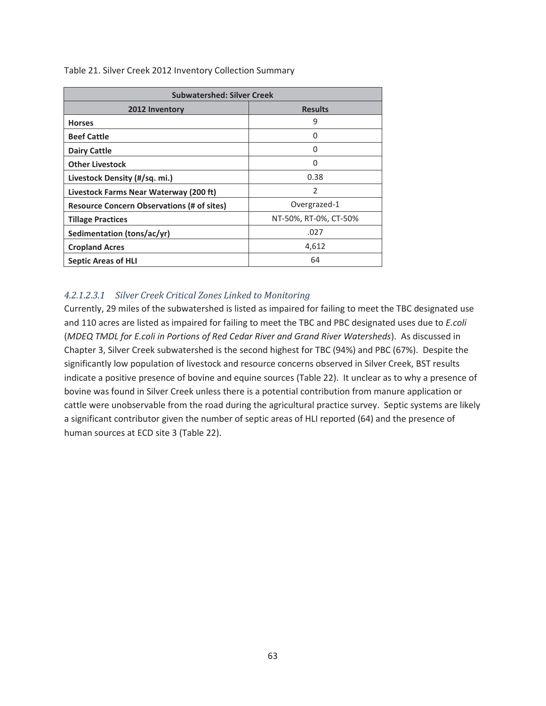| <b>Subwatershed: Silver Creek</b>                 |                          |  |
|---------------------------------------------------|--------------------------|--|
| 2012 Inventory                                    | <b>Results</b>           |  |
| <b>Horses</b>                                     | 9                        |  |
| <b>Beef Cattle</b>                                | 0                        |  |
| <b>Dairy Cattle</b>                               | 0                        |  |
| <b>Other Livestock</b>                            | 0                        |  |
| Livestock Density (#/sq. mi.)                     | 0.38                     |  |
| Livestock Farms Near Waterway (200 ft)            | $\overline{\phantom{a}}$ |  |
| <b>Resource Concern Observations (# of sites)</b> | Overgrazed-1             |  |
| <b>Tillage Practices</b>                          | NT-50%, RT-0%, CT-50%    |  |
| Sedimentation (tons/ac/yr)                        | .027                     |  |
| <b>Cropland Acres</b>                             | 4,612                    |  |
| <b>Septic Areas of HLI</b>                        | 64                       |  |

Table 21. Silver Creek 2012 Inventory Collection Summary

#### *4.2.1.2.3.1 Silver Creek Critical Zones Linked to Monitoring*

Currently, 29 miles of the subwatershed is listed as impaired for failing to meet the TBC designated use and 110 acres are listed as impaired for failing to meet the TBC and PBC designated uses due to *E.coli* (*MDEQ TMDL for E.coli in Portions of Red Cedar River and Grand River Watersheds*). As discussed in Chapter 3, Silver Creek subwatershed is the second highest for TBC (94%) and PBC (67%). Despite the significantly low population of livestock and resource concerns observed in Silver Creek, BST results indicate a positive presence of bovine and equine sources (Table 22). It unclear as to why a presence of bovine was found in Silver Creek unless there is a potential contribution from manure application or cattle were unobservable from the road during the agricultural practice survey. Septic systems are likely a significant contributor given the number of septic areas of HLI reported (64) and the presence of human sources at ECD site 3 (Table 22).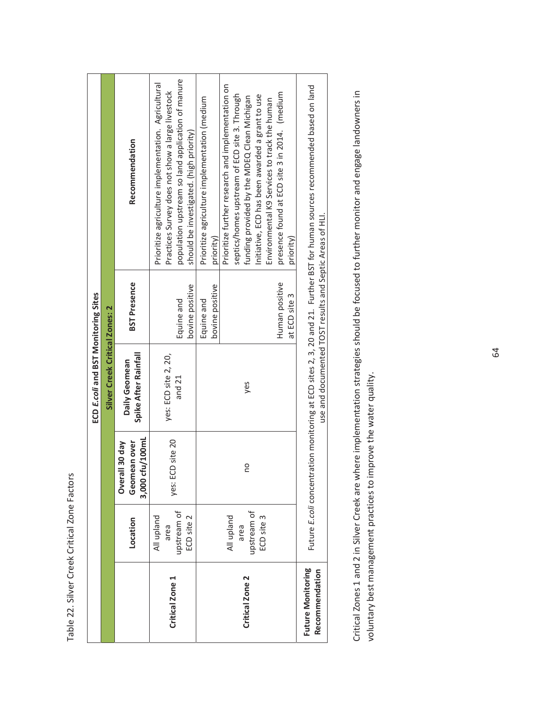Table 22. Silver Creek Critical Zone Factors Table 22. Silver Creek Critical Zone Factors

|                                     |                                                 |                                                                    | ECD E.coli and BST Monitoring Sites                      |                                                                  |                                                                                                                                                                                                                                                                                                                                                                                  |
|-------------------------------------|-------------------------------------------------|--------------------------------------------------------------------|----------------------------------------------------------|------------------------------------------------------------------|----------------------------------------------------------------------------------------------------------------------------------------------------------------------------------------------------------------------------------------------------------------------------------------------------------------------------------------------------------------------------------|
|                                     |                                                 |                                                                    | Silver Creek Critical Zones: 2                           |                                                                  |                                                                                                                                                                                                                                                                                                                                                                                  |
|                                     | Location                                        | cfu/100mL<br><b>nean over</b><br>Overall 30 day<br>Geom<br>3,000 c | Spike After Rainfall<br>Daily Geomean                    | <b>BST Presence</b>                                              | Recommendation                                                                                                                                                                                                                                                                                                                                                                   |
| Critical Zone 1                     | upstream of<br>ECD site 2<br>All upland<br>area | yes: ECD site 20                                                   | yes: ECD site 2, 20,<br>and 21                           | bovine positive<br>Equine and                                    | population upstream so land application of manure<br>Prioritize agriculture implementation. Agricultural<br>Practices Survey does not show a large livestock<br>should be investigated. (high priority)                                                                                                                                                                          |
| Critical Zone 2                     | upstream of<br>All upland<br>ECD site 3<br>area | OU                                                                 | yes                                                      | Human positive<br>bovine positive<br>at ECD site 3<br>Equine and | Prioritize further research and implementation on<br>presence found at ECD site 3 in 2014. (medium<br>septics/homes upstream of ECD site 3. Through<br>Initiative, ECD has been awarded a grant to use<br>funding provided by the MDEQ Clean Michigan<br>Prioritize agriculture implementation (medium<br>Environmental K9 Services to track the human<br>priority)<br>priority) |
| Future Monitoring<br>Recommendation |                                                 |                                                                    | use and documented TOST results and Septic Areas of HLI. |                                                                  | Future E.coli concentration monitoring at ECD sites 2, 3, 20 and 21. Further BST for human sources recommended based on land                                                                                                                                                                                                                                                     |

Critical Zones 1 and 2 in Silver Creek are where implementation strategies should be focused to further monitor and engage landowners in Critical Zones 1 and 2 in Silver Creek are where implementation strategies should be focused to further monitor and engage landowners in voluntary best management practices to improve the water quality. voluntary best management practices to improve the water quality.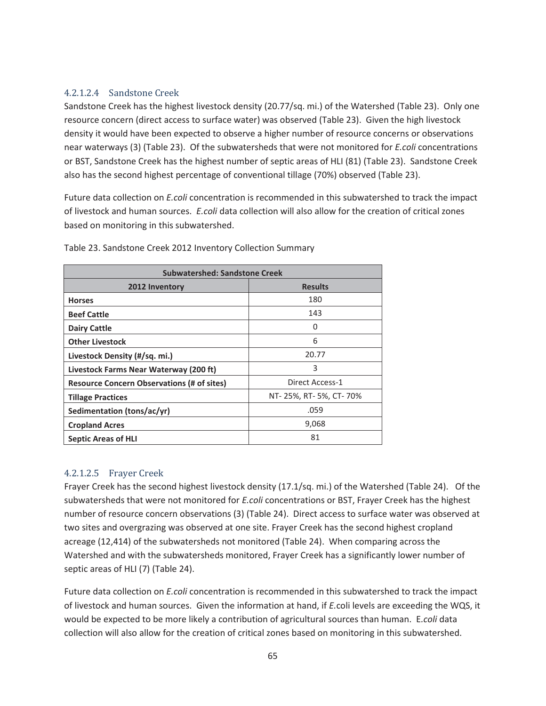### 4.2.1.2.4 Sandstone Creek

Sandstone Creek has the highest livestock density (20.77/sq. mi.) of the Watershed (Table 23). Only one resource concern (direct access to surface water) was observed (Table 23). Given the high livestock density it would have been expected to observe a higher number of resource concerns or observations near waterways (3) (Table 23). Of the subwatersheds that were not monitored for *E.coli* concentrations or BST, Sandstone Creek has the highest number of septic areas of HLI (81) (Table 23). Sandstone Creek also has the second highest percentage of conventional tillage (70%) observed (Table 23).

Future data collection on *E.coli* concentration is recommended in this subwatershed to track the impact of livestock and human sources. *E.coli* data collection will also allow for the creation of critical zones based on monitoring in this subwatershed.

| <b>Subwatershed: Sandstone Creek</b>              |                          |  |
|---------------------------------------------------|--------------------------|--|
| 2012 Inventory                                    | <b>Results</b>           |  |
| <b>Horses</b>                                     | 180                      |  |
| <b>Beef Cattle</b>                                | 143                      |  |
| <b>Dairy Cattle</b>                               | O                        |  |
| <b>Other Livestock</b>                            | 6                        |  |
| Livestock Density (#/sq. mi.)                     | 20.77                    |  |
| Livestock Farms Near Waterway (200 ft)            | 3                        |  |
| <b>Resource Concern Observations (# of sites)</b> | Direct Access-1          |  |
| <b>Tillage Practices</b>                          | NT- 25%, RT- 5%, CT- 70% |  |
| Sedimentation (tons/ac/yr)                        | .059                     |  |
| <b>Cropland Acres</b>                             | 9,068                    |  |
| <b>Septic Areas of HLI</b>                        | 81                       |  |

Table 23. Sandstone Creek 2012 Inventory Collection Summary

# 4.2.1.2.5 Frayer Creek

Frayer Creek has the second highest livestock density (17.1/sq. mi.) of the Watershed (Table 24). Of the subwatersheds that were not monitored for *E.coli* concentrations or BST, Frayer Creek has the highest number of resource concern observations (3) (Table 24). Direct access to surface water was observed at two sites and overgrazing was observed at one site. Frayer Creek has the second highest cropland acreage (12,414) of the subwatersheds not monitored (Table 24). When comparing across the Watershed and with the subwatersheds monitored, Frayer Creek has a significantly lower number of septic areas of HLI (7) (Table 24).

Future data collection on *E.coli* concentration is recommended in this subwatershed to track the impact of livestock and human sources.Given the information at hand, if *E.*coli levels are exceeding the WQS, it would be expected to be more likely a contribution of agricultural sources than human. E*.coli* data collection will also allow for the creation of critical zones based on monitoring in this subwatershed.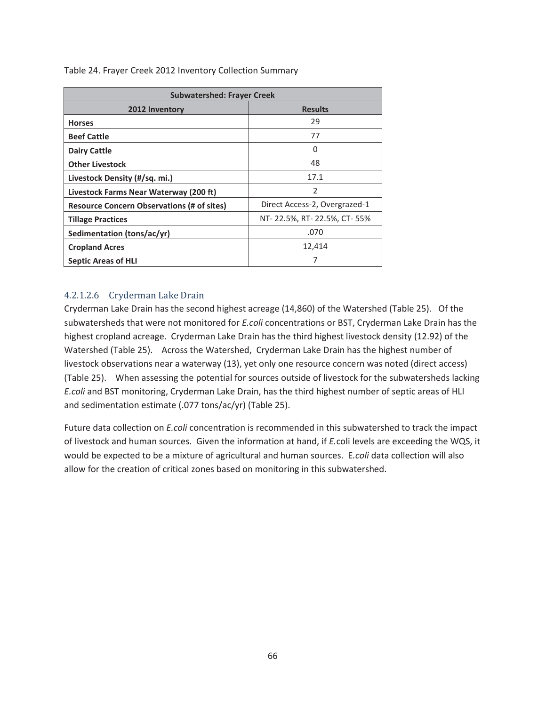| <b>Subwatershed: Frayer Creek</b>                 |                               |  |
|---------------------------------------------------|-------------------------------|--|
| 2012 Inventory                                    | <b>Results</b>                |  |
| <b>Horses</b>                                     | 29                            |  |
| <b>Beef Cattle</b>                                | 77                            |  |
| <b>Dairy Cattle</b>                               | 0                             |  |
| <b>Other Livestock</b>                            | 48                            |  |
| Livestock Density (#/sq. mi.)                     | 17.1                          |  |
| Livestock Farms Near Waterway (200 ft)            | $\mathfrak{p}$                |  |
| <b>Resource Concern Observations (# of sites)</b> | Direct Access-2, Overgrazed-1 |  |
| <b>Tillage Practices</b>                          | NT-22.5%, RT-22.5%, CT-55%    |  |
| Sedimentation (tons/ac/yr)                        | .070                          |  |
| <b>Cropland Acres</b>                             | 12,414                        |  |
| <b>Septic Areas of HLI</b>                        |                               |  |

Table 24. Frayer Creek 2012 Inventory Collection Summary

### 4.2.1.2.6 Cryderman Lake Drain

Cryderman Lake Drain has the second highest acreage (14,860) of the Watershed (Table 25). Of the subwatersheds that were not monitored for *E.coli* concentrations or BST, Cryderman Lake Drain has the highest cropland acreage. Cryderman Lake Drain has the third highest livestock density (12.92) of the Watershed (Table 25). Across the Watershed, Cryderman Lake Drain has the highest number of livestock observations near a waterway (13), yet only one resource concern was noted (direct access) (Table 25). When assessing the potential for sources outside of livestock for the subwatersheds lacking *E.coli* and BST monitoring, Cryderman Lake Drain, has the third highest number of septic areas of HLI and sedimentation estimate (.077 tons/ac/yr) (Table 25).

Future data collection on *E.coli* concentration is recommended in this subwatershed to track the impact of livestock and human sources.Given the information at hand, if *E.*coli levels are exceeding the WQS, it would be expected to be a mixture of agricultural and human sources. E*.coli* data collection will also allow for the creation of critical zones based on monitoring in this subwatershed.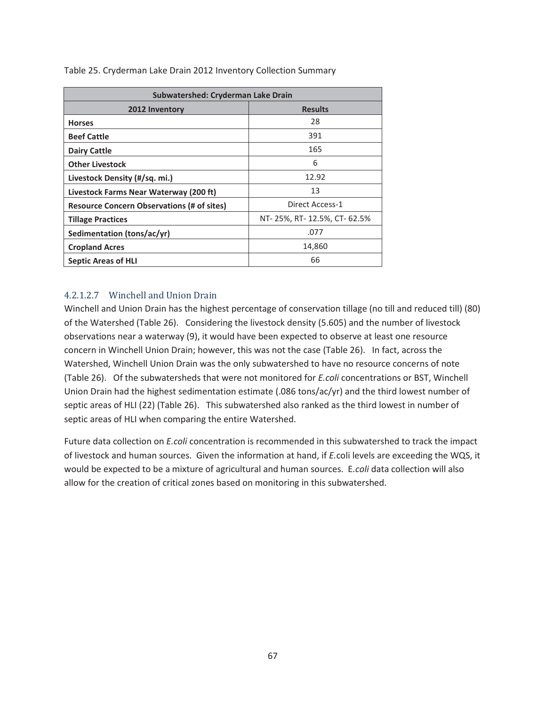| Subwatershed: Cryderman Lake Drain                |                            |  |
|---------------------------------------------------|----------------------------|--|
| 2012 Inventory                                    | <b>Results</b>             |  |
| <b>Horses</b>                                     | 28                         |  |
| <b>Beef Cattle</b>                                | 391                        |  |
| <b>Dairy Cattle</b>                               | 165                        |  |
| <b>Other Livestock</b>                            | 6                          |  |
| Livestock Density (#/sq. mi.)                     | 12.92                      |  |
| Livestock Farms Near Waterway (200 ft)            | 13                         |  |
| <b>Resource Concern Observations (# of sites)</b> | Direct Access-1            |  |
| <b>Tillage Practices</b>                          | NT-25%, RT-12.5%, CT-62.5% |  |
| Sedimentation (tons/ac/yr)                        | .077                       |  |
| <b>Cropland Acres</b>                             | 14,860                     |  |
| <b>Septic Areas of HLI</b>                        | 66                         |  |

Table 25. Cryderman Lake Drain 2012 Inventory Collection Summary

### 4.2.1.2.7 Winchell and Union Drain

Winchell and Union Drain has the highest percentage of conservation tillage (no till and reduced till) (80) of the Watershed (Table 26). Considering the livestock density (5.605) and the number of livestock observations near a waterway (9), it would have been expected to observe at least one resource concern in Winchell Union Drain; however, this was not the case (Table 26). In fact, across the Watershed, Winchell Union Drain was the only subwatershed to have no resource concerns of note (Table 26). Of the subwatersheds that were not monitored for *E.coli* concentrations or BST, Winchell Union Drain had the highest sedimentation estimate (.086 tons/ac/yr) and the third lowest number of septic areas of HLI (22) (Table 26). This subwatershed also ranked as the third lowest in number of septic areas of HLI when comparing the entire Watershed.

Future data collection on *E.coli* concentration is recommended in this subwatershed to track the impact of livestock and human sources.Given the information at hand, if *E.*coli levels are exceeding the WQS, it would be expected to be a mixture of agricultural and human sources. E*.coli* data collection will also allow for the creation of critical zones based on monitoring in this subwatershed.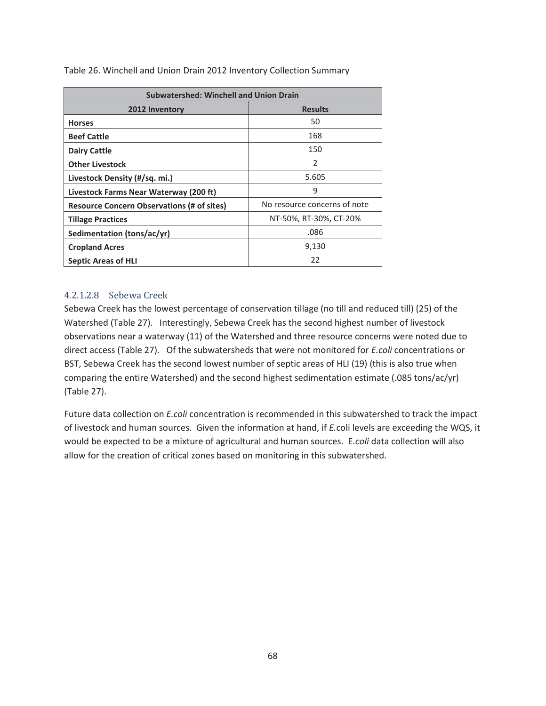| <b>Subwatershed: Winchell and Union Drain</b>     |                              |  |
|---------------------------------------------------|------------------------------|--|
| 2012 Inventory                                    | <b>Results</b>               |  |
| <b>Horses</b>                                     | 50                           |  |
| <b>Beef Cattle</b>                                | 168                          |  |
| <b>Dairy Cattle</b>                               | 150                          |  |
| <b>Other Livestock</b>                            | 2                            |  |
| Livestock Density (#/sq. mi.)                     | 5.605                        |  |
| Livestock Farms Near Waterway (200 ft)            | 9                            |  |
| <b>Resource Concern Observations (# of sites)</b> | No resource concerns of note |  |
| <b>Tillage Practices</b>                          | NT-50%, RT-30%, CT-20%       |  |
| Sedimentation (tons/ac/yr)                        | .086                         |  |
| <b>Cropland Acres</b>                             | 9,130                        |  |
| <b>Septic Areas of HLI</b>                        | 22                           |  |

Table 26. Winchell and Union Drain 2012 Inventory Collection Summary

### 4.2.1.2.8 Sebewa Creek

Sebewa Creek has the lowest percentage of conservation tillage (no till and reduced till) (25) of the Watershed (Table 27). Interestingly, Sebewa Creek has the second highest number of livestock observations near a waterway (11) of the Watershed and three resource concerns were noted due to direct access (Table 27). Of the subwatersheds that were not monitored for *E.coli* concentrations or BST, Sebewa Creek has the second lowest number of septic areas of HLI (19) (this is also true when comparing the entire Watershed) and the second highest sedimentation estimate (.085 tons/ac/yr) (Table 27).

Future data collection on *E.coli* concentration is recommended in this subwatershed to track the impact of livestock and human sources.Given the information at hand, if *E.*coli levels are exceeding the WQS, it would be expected to be a mixture of agricultural and human sources. E*.coli* data collection will also allow for the creation of critical zones based on monitoring in this subwatershed.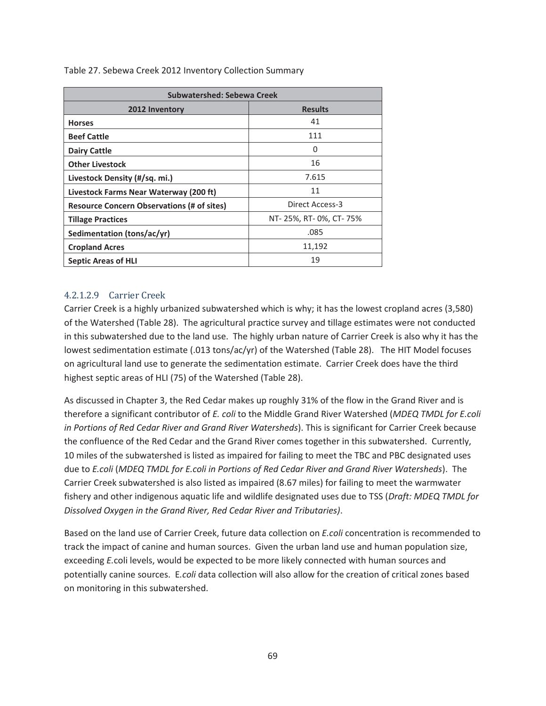| Subwatershed: Sebewa Creek                        |                          |  |
|---------------------------------------------------|--------------------------|--|
| 2012 Inventory                                    | <b>Results</b>           |  |
| <b>Horses</b>                                     | 41                       |  |
| <b>Beef Cattle</b>                                | 111                      |  |
| <b>Dairy Cattle</b>                               | O                        |  |
| <b>Other Livestock</b>                            | 16                       |  |
| Livestock Density (#/sq. mi.)                     | 7.615                    |  |
| Livestock Farms Near Waterway (200 ft)            | 11                       |  |
| <b>Resource Concern Observations (# of sites)</b> | Direct Access-3          |  |
| <b>Tillage Practices</b>                          | NT- 25%, RT- 0%, CT- 75% |  |
| Sedimentation (tons/ac/yr)                        | .085                     |  |
| <b>Cropland Acres</b>                             | 11,192                   |  |
| <b>Septic Areas of HLI</b>                        | 19                       |  |

Table 27. Sebewa Creek 2012 Inventory Collection Summary

### 4.2.1.2.9 Carrier Creek

Carrier Creek is a highly urbanized subwatershed which is why; it has the lowest cropland acres (3,580) of the Watershed (Table 28). The agricultural practice survey and tillage estimates were not conducted in this subwatershed due to the land use. The highly urban nature of Carrier Creek is also why it has the lowest sedimentation estimate (.013 tons/ac/yr) of the Watershed (Table 28). The HIT Model focuses on agricultural land use to generate the sedimentation estimate. Carrier Creek does have the third highest septic areas of HLI (75) of the Watershed (Table 28).

As discussed in Chapter 3, the Red Cedar makes up roughly 31% of the flow in the Grand River and is therefore a significant contributor of *E. coli* to the Middle Grand River Watershed (*MDEQ TMDL for E.coli in Portions of Red Cedar River and Grand River Watersheds*). This is significant for Carrier Creek because the confluence of the Red Cedar and the Grand River comes together in this subwatershed. Currently, 10 miles of the subwatershed is listed as impaired for failing to meet the TBC and PBC designated uses due to *E.coli* (*MDEQ TMDL for E.coli in Portions of Red Cedar River and Grand River Watersheds*). The Carrier Creek subwatershed is also listed as impaired (8.67 miles) for failing to meet the warmwater fishery and other indigenous aquatic life and wildlife designated uses due to TSS (*Draft: MDEQ TMDL for Dissolved Oxygen in the Grand River, Red Cedar River and Tributaries)*.

Based on the land use of Carrier Creek, future data collection on *E.coli* concentration is recommended to track the impact of canine and human sources.Given the urban land use and human population size, exceeding *E.*coli levels, would be expected to be more likely connected with human sources and potentially canine sources. E*.coli* data collection will also allow for the creation of critical zones based on monitoring in this subwatershed.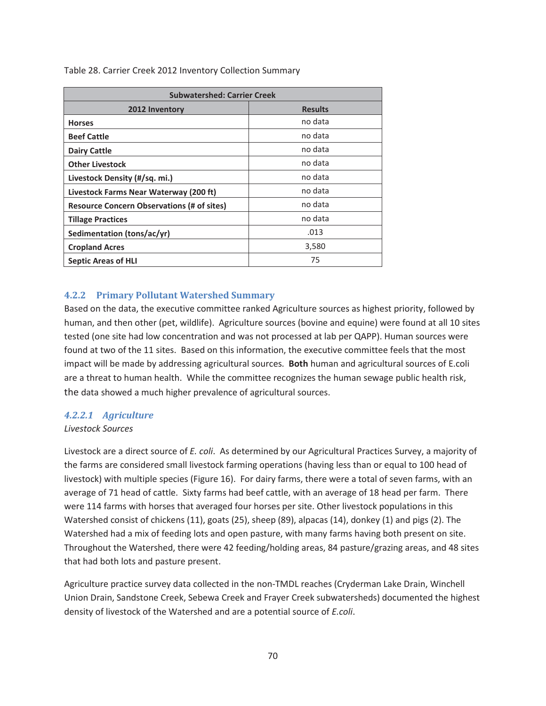| <b>Subwatershed: Carrier Creek</b>                |                |
|---------------------------------------------------|----------------|
| 2012 Inventory                                    | <b>Results</b> |
| <b>Horses</b>                                     | no data        |
| <b>Beef Cattle</b>                                | no data        |
| <b>Dairy Cattle</b>                               | no data        |
| <b>Other Livestock</b>                            | no data        |
| Livestock Density (#/sq. mi.)                     | no data        |
| Livestock Farms Near Waterway (200 ft)            | no data        |
| <b>Resource Concern Observations (# of sites)</b> | no data        |
| <b>Tillage Practices</b>                          | no data        |
| Sedimentation (tons/ac/yr)                        | .013           |
| <b>Cropland Acres</b>                             | 3,580          |
| <b>Septic Areas of HLI</b>                        | 75             |

Table 28. Carrier Creek 2012 Inventory Collection Summary

#### **4.2.2 Primary Pollutant Watershed Summary**

Based on the data, the executive committee ranked Agriculture sources as highest priority, followed by human, and then other (pet, wildlife). Agriculture sources (bovine and equine) were found at all 10 sites tested (one site had low concentration and was not processed at lab per QAPP). Human sources were found at two of the 11 sites. Based on this information, the executive committee feels that the most impact will be made by addressing agricultural sources. **Both** human and agricultural sources of E.coli are a threat to human health. While the committee recognizes the human sewage public health risk, the data showed a much higher prevalence of agricultural sources.

#### *4.2.2.1 Agriculture*

#### *Livestock Sources*

Livestock are a direct source of *E. coli*. As determined by our Agricultural Practices Survey, a majority of the farms are considered small livestock farming operations (having less than or equal to 100 head of livestock) with multiple species (Figure 16). For dairy farms, there were a total of seven farms, with an average of 71 head of cattle. Sixty farms had beef cattle, with an average of 18 head per farm. There were 114 farms with horses that averaged four horses per site. Other livestock populations in this Watershed consist of chickens (11), goats (25), sheep (89), alpacas (14), donkey (1) and pigs (2). The Watershed had a mix of feeding lots and open pasture, with many farms having both present on site. Throughout the Watershed, there were 42 feeding/holding areas, 84 pasture/grazing areas, and 48 sites that had both lots and pasture present.

Agriculture practice survey data collected in the non-TMDL reaches (Cryderman Lake Drain, Winchell Union Drain, Sandstone Creek, Sebewa Creek and Frayer Creek subwatersheds) documented the highest density of livestock of the Watershed and are a potential source of *E.coli*.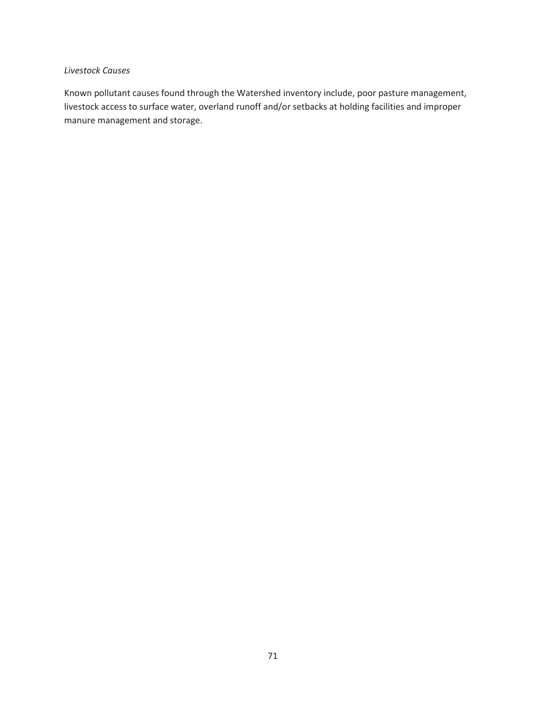#### *Livestock Causes*

Known pollutant causes found through the Watershed inventory include, poor pasture management, livestock access to surface water, overland runoff and/or setbacks at holding facilities and improper manure management and storage.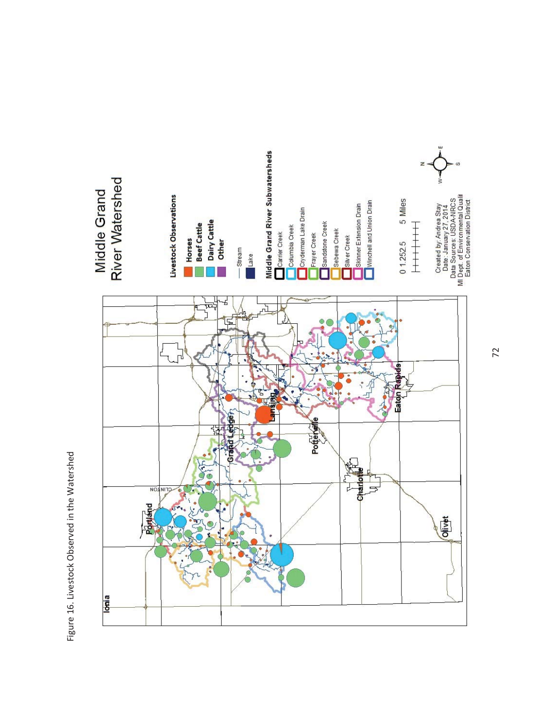Figure 16. Livestock Observed in the Watershed Figure 16. Livestock Observed in the Watershed

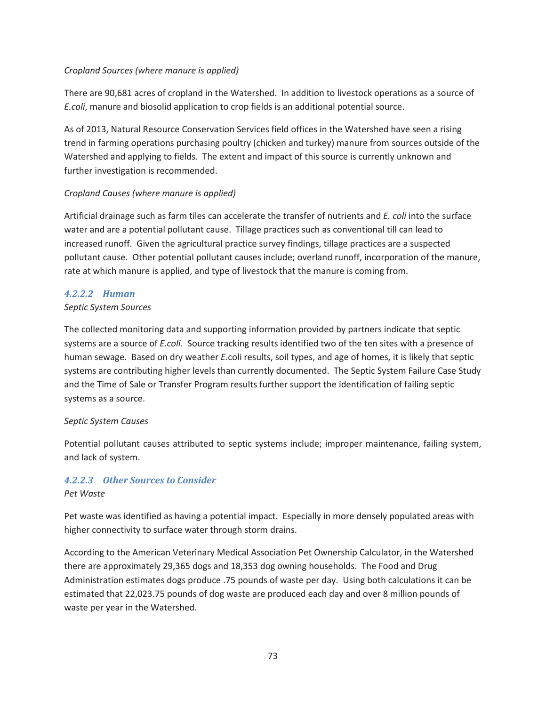#### *Cropland Sources (where manure is applied)*

There are 90,681 acres of cropland in the Watershed. In addition to livestock operations as a source of *E.coli*, manure and biosolid application to crop fields is an additional potential source.

As of 2013, Natural Resource Conservation Services field offices in the Watershed have seen a rising trend in farming operations purchasing poultry (chicken and turkey) manure from sources outside of the Watershed and applying to fields. The extent and impact of this source is currently unknown and further investigation is recommended.

### *Cropland Causes (where manure is applied)*

Artificial drainage such as farm tiles can accelerate the transfer of nutrients and *E. coli* into the surface water and are a potential pollutant cause. Tillage practices such as conventional till can lead to increased runoff. Given the agricultural practice survey findings, tillage practices are a suspected pollutant cause. Other potential pollutant causes include; overland runoff, incorporation of the manure, rate at which manure is applied, and type of livestock that the manure is coming from.

#### *4.2.2.2 Human*

#### *Septic System Sources*

The collected monitoring data and supporting information provided by partners indicate that septic systems are a source of *E.coli*. Source tracking results identified two of the ten sites with a presence of human sewage. Based on dry weather *E.*coli results, soil types, and age of homes, it is likely that septic systems are contributing higher levels than currently documented. The Septic System Failure Case Study and the Time of Sale or Transfer Program results further support the identification of failing septic systems as a source.

#### *Septic System Causes*

Potential pollutant causes attributed to septic systems include; improper maintenance, failing system, and lack of system.

#### *4.2.2.3 Other Sources to Consider Pet Waste*

Pet waste was identified as having a potential impact. Especially in more densely populated areas with higher connectivity to surface water through storm drains.

According to the American Veterinary Medical Association Pet Ownership Calculator, in the Watershed there are approximately 29,365 dogs and 18,353 dog owning households. The Food and Drug Administration estimates dogs produce .75 pounds of waste per day. Using both calculations it can be estimated that 22,023.75 pounds of dog waste are produced each day and over 8 million pounds of waste per year in the Watershed.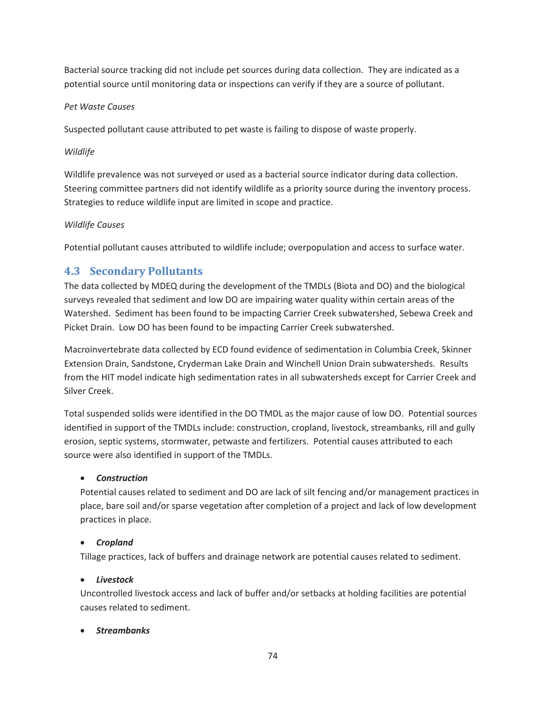Bacterial source tracking did not include pet sources during data collection. They are indicated as a potential source until monitoring data or inspections can verify if they are a source of pollutant.

### *Pet Waste Causes*

Suspected pollutant cause attributed to pet waste is failing to dispose of waste properly.

### *Wildlife*

Wildlife prevalence was not surveyed or used as a bacterial source indicator during data collection. Steering committee partners did not identify wildlife as a priority source during the inventory process. Strategies to reduce wildlife input are limited in scope and practice.

### *Wildlife Causes*

Potential pollutant causes attributed to wildlife include; overpopulation and access to surface water.

# **4.3 Secondary Pollutants**

The data collected by MDEQ during the development of the TMDLs (Biota and DO) and the biological surveys revealed that sediment and low DO are impairing water quality within certain areas of the Watershed. Sediment has been found to be impacting Carrier Creek subwatershed, Sebewa Creek and Picket Drain. Low DO has been found to be impacting Carrier Creek subwatershed.

Macroinvertebrate data collected by ECD found evidence of sedimentation in Columbia Creek, Skinner Extension Drain, Sandstone, Cryderman Lake Drain and Winchell Union Drain subwatersheds. Results from the HIT model indicate high sedimentation rates in all subwatersheds except for Carrier Creek and Silver Creek.

Total suspended solids were identified in the DO TMDL as the major cause of low DO. Potential sources identified in support of the TMDLs include: construction, cropland, livestock, streambanks, rill and gully erosion, septic systems, stormwater, petwaste and fertilizers. Potential causes attributed to each source were also identified in support of the TMDLs.

# x *Construction*

Potential causes related to sediment and DO are lack of silt fencing and/or management practices in place, bare soil and/or sparse vegetation after completion of a project and lack of low development practices in place.

# **•** *Cropland*

Tillage practices, lack of buffers and drainage network are potential causes related to sediment.

# **•** Livestock

Uncontrolled livestock access and lack of buffer and/or setbacks at holding facilities are potential causes related to sediment.

# x *Streambanks*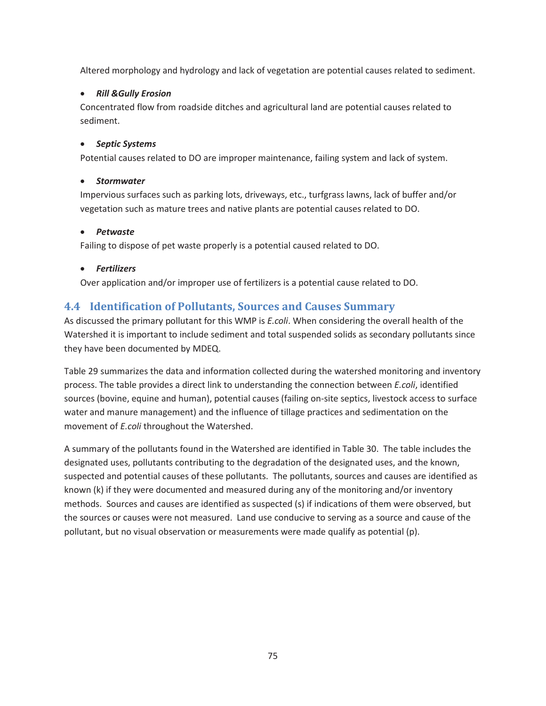Altered morphology and hydrology and lack of vegetation are potential causes related to sediment.

### x *Rill &Gully Erosion*

Concentrated flow from roadside ditches and agricultural land are potential causes related to sediment.

#### x *Septic Systems*

Potential causes related to DO are improper maintenance, failing system and lack of system.

#### x *Stormwater*

Impervious surfaces such as parking lots, driveways, etc., turfgrass lawns, lack of buffer and/or vegetation such as mature trees and native plants are potential causes related to DO.

#### x *Petwaste*

Failing to dispose of pet waste properly is a potential caused related to DO.

#### x *Fertilizers*

Over application and/or improper use of fertilizers is a potential cause related to DO.

# **4.4 Identification of Pollutants, Sources and Causes Summary**

As discussed the primary pollutant for this WMP is *E.coli*. When considering the overall health of the Watershed it is important to include sediment and total suspended solids as secondary pollutants since they have been documented by MDEQ.

Table 29 summarizes the data and information collected during the watershed monitoring and inventory process. The table provides a direct link to understanding the connection between *E.coli*, identified sources (bovine, equine and human), potential causes (failing on-site septics, livestock access to surface water and manure management) and the influence of tillage practices and sedimentation on the movement of *E.coli* throughout the Watershed.

A summary of the pollutants found in the Watershed are identified in Table 30. The table includes the designated uses, pollutants contributing to the degradation of the designated uses, and the known, suspected and potential causes of these pollutants. The pollutants, sources and causes are identified as known (k) if they were documented and measured during any of the monitoring and/or inventory methods. Sources and causes are identified as suspected (s) if indications of them were observed, but the sources or causes were not measured. Land use conducive to serving as a source and cause of the pollutant, but no visual observation or measurements were made qualify as potential (p).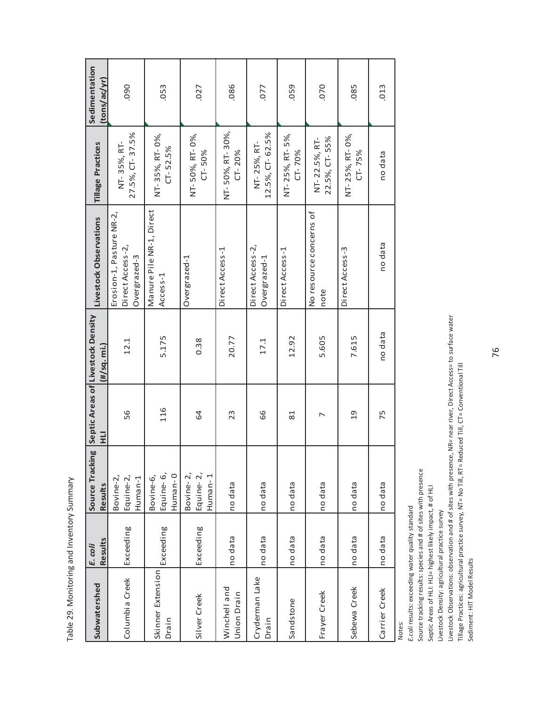| ֧֦֧֚֞֟֟֟֟֬֟֬֝<br>֧֪֝֝ <b>֟</b><br>Ĭ<br>ı |
|------------------------------------------|
|                                          |
| )<br>5                                   |
| こくらい こくさいきこく<br>נ<br>ć                   |
| ١<br>ς                                   |
| $\frac{1}{2}$                            |

| Subwatershed                | Results<br>E. coli | <b>Results</b>                    | 긒   | Source Tracking Septic Areas of Livestock Density<br>(#/sq. mi.) | Livestock Observations                                       | <b>Tillage Practices</b>       | Sedimentation<br>(tons/ac/yr) |
|-----------------------------|--------------------|-----------------------------------|-----|------------------------------------------------------------------|--------------------------------------------------------------|--------------------------------|-------------------------------|
| Columbia Creek              | Exceeding          | Equine-2,<br>Bovine-2,<br>Human-1 | 56  | 12.1                                                             | Erosion-1, Pasture NR-2,<br>Direct Access-2,<br>Overgrazed-3 | 27.5%, CT-37.5%<br>NT-35%, RT- | 090                           |
| Skinner Extension<br>Drain  | Exceeding          | Equine-6,<br>Human-0<br>Bovine-6, | 116 | 5.175                                                            | Manure Pile NR-1, Direct<br>Access-1                         | NT-35%, RT-0%,<br>$CT - 52.5%$ | .053                          |
| Silver Creek                | Exceeding          | Equine-2,<br>Bovine-2,<br>Human-1 | 64  | 0.38                                                             | Overgrazed-1                                                 | NT-50%, RT-0%,<br>CT-50%       | .027                          |
| Winchell and<br>Union Drain | no data            | no data                           | 23  | 20.77                                                            | Direct Access-1                                              | NT-50%, RT-30%,<br>$CT - 20%$  | .086                          |
| Cryderman Lake<br>Drain     | no data            | no data                           | 66  | 17.1                                                             | Direct Access-2,<br>Overgrazed-1                             | 12.5%, CT-62.5%<br>NT-25%, RT- | .077                          |
| Sandstone                   | no data            | no data                           | 81  | 12.92                                                            | Direct Access-1                                              | NT-25%, RT-5%,<br>$CT - 70%$   | .059                          |
| Frayer Creek                | no data            | no data                           | ↖   | 5.605                                                            | No resource concerns of<br>note                              | 22.5%, CT-55%<br>NT-22.5%, RT- | 070                           |
| Sebewa Creek                | no data            | no data                           | 19  | 7.615                                                            | Direct Access-3                                              | NT-25%, RT-0%,<br>$CT - 75%$   | .085                          |
| Carrier Creek               | no data            | no data                           | 75  | no data                                                          | no data                                                      | no data                        | .013                          |

Notes:

E.coli results: exceeding water quality standard *E.coli* results: exceeding water quality standard

Source tracking results: species and # of sites with presence<br>Septic Areas of HLI: HLI= highest likely impact, # of HLI Source tracking results: species and # of sites with presence Septic Areas of HLI: HLI= highest likely impact, # of HLI

Livestock Density: agricultural practice survey Livestock Density: agricultural practice survey

Livestock Observations: observation and # of sites with presence, NR= near river, Direct Access= to surface water Livestock Observations: observation and # of sites with presence, NR= near river, Direct Access= to surface water

Tillage Practices: agricultural practice survey, NT= No Till, RT= Reduced Till, CT= Conventional Till<br>Sediment: HIT Model Results Tillage Practices: agricultural practice survey, NT= No Till, RT= Reduced Till, CT= Conventional Till

Sediment: HIT Model Results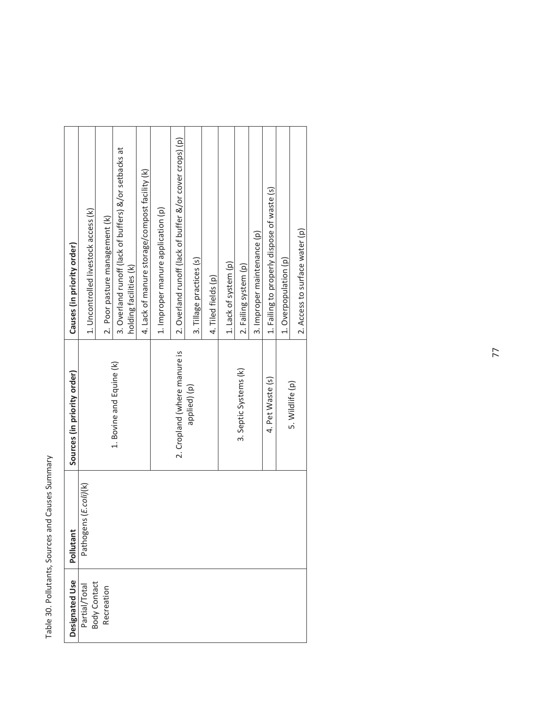Table 30. Pollutants, Sources and Causes Summary Table 30. Pollutants, Sources and Causes Summary

| Designated Use             | Pollutant             | Sources (in priority order)  | Causes (in priority order)                               |
|----------------------------|-----------------------|------------------------------|----------------------------------------------------------|
| Partial/Total              | Pathogens (E.coli)(k) |                              | 1. Uncontrolled livestock access (k)                     |
| Body Contact<br>Recreation |                       |                              | 2. Poor pasture management (k)                           |
|                            |                       | 1. Bovine and Equine (k)     | 3. Overland runoff (lack of buffers) &/or setbacks at    |
|                            |                       |                              | holding facilities (k)                                   |
|                            |                       |                              | 4. Lack of manure storage/compost facility (k)           |
|                            |                       |                              | 1. Improper manure application (p)                       |
|                            |                       | 2. Cropland (where manure is | 2. Overland runoff (lack of buffer &/or cover crops) (p) |
|                            |                       | applied) (p)                 | 3. Tillage practices (s)                                 |
|                            |                       |                              | 4. Tiled fields (p)                                      |
|                            |                       |                              | 1. Lack of system (p)                                    |
|                            |                       | 3. Septic Systems (k)        | 2. Failing system (p)                                    |
|                            |                       |                              | 3. Improper maintenance (p)                              |
|                            |                       | 4. Pet Waste (s)             | 1. Failing to properly dispose of waste (s)              |
|                            |                       |                              | 1. Overpopulation (p)                                    |
|                            |                       | 5. Wildlife (p)              | 2. Access to surface water (p)                           |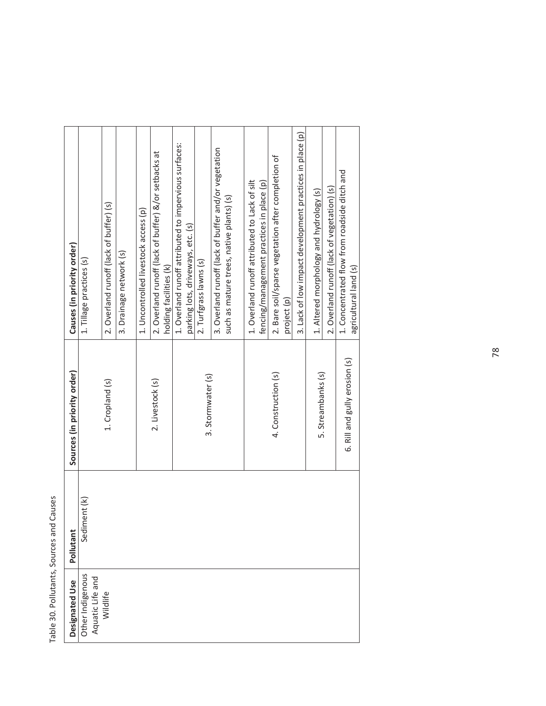Table 30. Pollutants, Sources and Causes Table 30. Pollutants, Sources and Causes

| Causes (in priority order)  | 1. Tillage practices (s)                         | 2. Overland runoff (lack of buffer) (s) | 3. Drainage network (s) | 1. Uncontrolled livestock access (p) | 2. Overland runoff (lack of buffer) &/or setbacks at | holding facilities (k) | 1. Overland runoff attributed to impervious surfaces: | parking lots, driveways, etc. (s) | 2. Turfgrass lawns (s) | 3. Overland runoff (lack of buffer and/or vegetation | such as mature trees, native plants) (s) | 1. Overland runoff attributed to Lack of silt | fencing/management practices in place (p) | 2. Bare soil/sparse vegetation after completion of | project (p) | 3. Lack of low impact development practices in place (p) | 1. Altered morphology and hydrology (s) | 2. Overland runoff (lack of vegetation) (s) | 1. Concentrated flow from roadside ditch and<br>agricultural land (s) |
|-----------------------------|--------------------------------------------------|-----------------------------------------|-------------------------|--------------------------------------|------------------------------------------------------|------------------------|-------------------------------------------------------|-----------------------------------|------------------------|------------------------------------------------------|------------------------------------------|-----------------------------------------------|-------------------------------------------|----------------------------------------------------|-------------|----------------------------------------------------------|-----------------------------------------|---------------------------------------------|-----------------------------------------------------------------------|
| Sources (in priority order) |                                                  | 1. Cropland (s)                         |                         |                                      | 2. Livestock (s)                                     |                        |                                                       |                                   | 3. Stormwater (s)      |                                                      |                                          |                                               |                                           | 4. Construction (s)                                |             |                                                          | 5. Streambanks (s)                      |                                             | 6. Rill and gully erosion (s)                                         |
| Pollutant                   | iment (k)<br>Sed                                 |                                         |                         |                                      |                                                      |                        |                                                       |                                   |                        |                                                      |                                          |                                               |                                           |                                                    |             |                                                          |                                         |                                             |                                                                       |
| Designated Use              | Other Indigenous<br>Aquatic Life and<br>Wildlife |                                         |                         |                                      |                                                      |                        |                                                       |                                   |                        |                                                      |                                          |                                               |                                           |                                                    |             |                                                          |                                         |                                             |                                                                       |